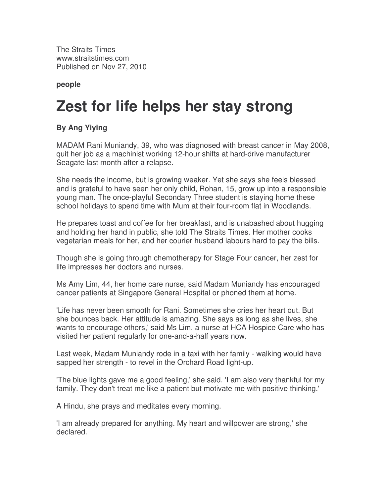The Straits Times www.straitstimes.com Published on Nov 27, 2010

**people**

## **Zest for life helps her stay strong**

## **By Ang Yiying**

MADAM Rani Muniandy, 39, who was diagnosed with breast cancer in May 2008, quit her job as a machinist working 12-hour shifts at hard-drive manufacturer Seagate last month after a relapse.

She needs the income, but is growing weaker. Yet she says she feels blessed and is grateful to have seen her only child, Rohan, 15, grow up into a responsible young man. The once-playful Secondary Three student is staying home these school holidays to spend time with Mum at their four-room flat in Woodlands.

He prepares toast and coffee for her breakfast, and is unabashed about hugging and holding her hand in public, she told The Straits Times. Her mother cooks vegetarian meals for her, and her courier husband labours hard to pay the bills.

Though she is going through chemotherapy for Stage Four cancer, her zest for life impresses her doctors and nurses.

Ms Amy Lim, 44, her home care nurse, said Madam Muniandy has encouraged cancer patients at Singapore General Hospital or phoned them at home.

'Life has never been smooth for Rani. Sometimes she cries her heart out. But she bounces back. Her attitude is amazing. She says as long as she lives, she wants to encourage others,' said Ms Lim, a nurse at HCA Hospice Care who has visited her patient regularly for one-and-a-half years now.

Last week, Madam Muniandy rode in a taxi with her family - walking would have sapped her strength - to revel in the Orchard Road light-up.

'The blue lights gave me a good feeling,' she said. 'I am also very thankful for my family. They don't treat me like a patient but motivate me with positive thinking.'

A Hindu, she prays and meditates every morning.

'I am already prepared for anything. My heart and willpower are strong,' she declared.